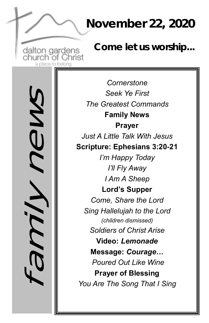### **November 22, 2020**

dalton gardens<br>church of Christ a place to belonc

*Come let us worship...*

family news

*Cornerstone Seek Ye First The Greatest Commands* **Family News Prayer** *Just A Little Talk With Jesus*  **Scripture: Ephesians 3:20-21** *I'm Happy Today I'll Fly Away I Am A Sheep* **Lord's Supper**  *Come, Share the Lord Sing Hallelujah to the Lord (children dismissed) Soldiers of Christ Arise* **Video:** *Lemonade*  **Message:** *Courage… Poured Out Like Wine* **Prayer of Blessing** *You Are The Song That I Sing*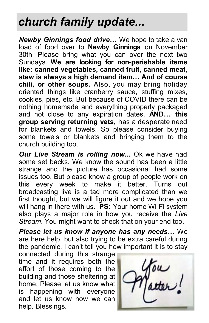## *church family update...*

*Newby Ginnings food drive…* We hope to take a van load of food over to **Newby Ginnings** on November 30th. Please bring what you can over the next two Sundays. **We are looking for non-perishable items like: canned vegetables, canned fruit, canned meat, stew is always a high demand item… And of course chili, or other soups.** Also, you may bring holiday oriented things like cranberry sauce, stuffing mixes, cookies, pies, etc. But because of COVID there can be nothing homemade and everything properly packaged and not close to any expiration dates. **AND… this group serving returning vets,** has a desperate need for blankets and towels. So please consider buying some towels or blankets and bringing them to the church building too.

*Our Live Stream is rolling now...* Ok we have had some set backs. We know the sound has been a little strange and the picture has occasional had some issues too. But please know a group of people work on this every week to make it better. Turns out broadcasting live is a tad more complicated than we first thought, but we will figure it out and we hope you will hang in there with us. **PS:** Your home Wi-Fi system also plays a major role in how you receive the *Live Stream*. You might want to check that on your end too.

*Please let us know if anyone has any needs…* We are here help, but also trying to be extra careful during the pandemic. I can't tell you how important it is to stay

connected during this strange time and it requires both the effort of those coming to the building and those sheltering at home. Please let us know what is happening with everyone and let us know how we can help. Blessings.

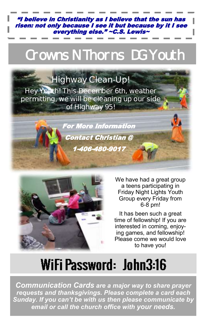"I believe in Christianity as I believe that the sun has risen: not only because I see it but because by it I see everything else." ~C.S. Lewis~

# Crowns N Thorns DG Youth

### **Highway Clean-Up!**

**Hey Youth! This December 6th, weather permitting, we will be cleaning up our side of Highway 95!** 

> For More Information Contact Christian @ 1-406-480-9017



We have had a great group a teens participating in Friday Night Lights Youth Group every Friday from 6-8 pm!

It has been such a great time of fellowship! If you are interested in coming, enjoying games, and fellowship! Please come we would love to have you!

#### WiFi Password: John3:16  $\ddot{\phantom{0}}$

*Communication Cards are a major way to share prayer requests and thanksgivings. Please complete a card each Sunday. If you can't be with us then please communicate by email or call the church office with your needs.*